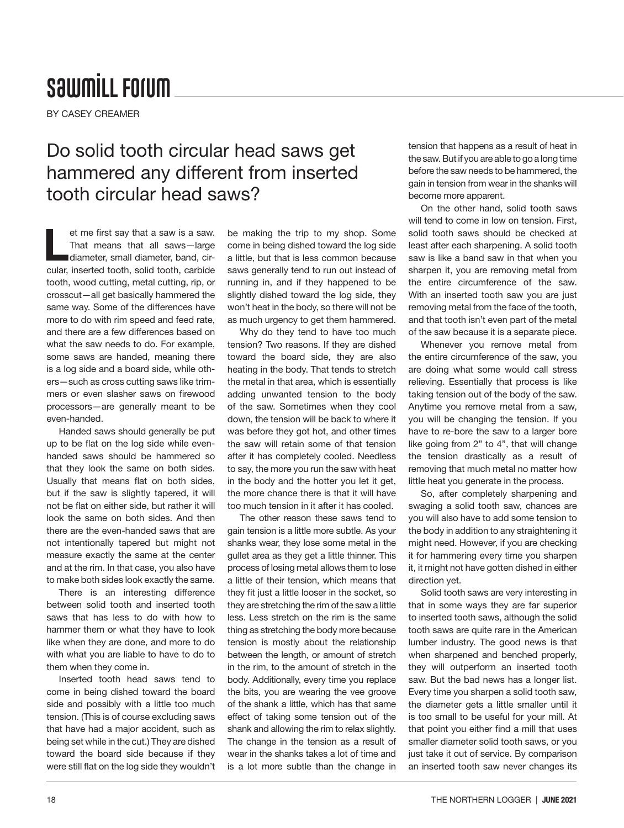## **SawmiLL Forum**

BY CASEY CREAMER

## Do solid tooth circular head saws get hammered any different from inserted tooth circular head saws?

et me first say that a saw is a saw.<br>
That means that all saws—large<br>
diameter, small diameter, band, cir-That means that all saws—large cular, inserted tooth, solid tooth, carbide tooth, wood cutting, metal cutting, rip, or crosscut—all get basically hammered the same way. Some of the differences have more to do with rim speed and feed rate, and there are a few differences based on what the saw needs to do. For example, some saws are handed, meaning there is a log side and a board side, while others—such as cross cutting saws like trimmers or even slasher saws on firewood processors—are generally meant to be even-handed.

Handed saws should generally be put up to be flat on the log side while evenhanded saws should be hammered so that they look the same on both sides. Usually that means flat on both sides, but if the saw is slightly tapered, it will not be flat on either side, but rather it will look the same on both sides. And then there are the even-handed saws that are not intentionally tapered but might not measure exactly the same at the center and at the rim. In that case, you also have to make both sides look exactly the same.

There is an interesting difference between solid tooth and inserted tooth saws that has less to do with how to hammer them or what they have to look like when they are done, and more to do with what you are liable to have to do to them when they come in.

Inserted tooth head saws tend to come in being dished toward the board side and possibly with a little too much tension. (This is of course excluding saws that have had a major accident, such as being set while in the cut.) They are dished toward the board side because if they were still flat on the log side they wouldn't be making the trip to my shop. Some come in being dished toward the log side a little, but that is less common because saws generally tend to run out instead of running in, and if they happened to be slightly dished toward the log side, they won't heat in the body, so there will not be as much urgency to get them hammered.

Why do they tend to have too much tension? Two reasons. If they are dished toward the board side, they are also heating in the body. That tends to stretch the metal in that area, which is essentially adding unwanted tension to the body of the saw. Sometimes when they cool down, the tension will be back to where it was before they got hot, and other times the saw will retain some of that tension after it has completely cooled. Needless to say, the more you run the saw with heat in the body and the hotter you let it get, the more chance there is that it will have too much tension in it after it has cooled.

The other reason these saws tend to gain tension is a little more subtle. As your shanks wear, they lose some metal in the gullet area as they get a little thinner. This process of losing metal allows them to lose a little of their tension, which means that they fit just a little looser in the socket, so they are stretching the rim of the saw a little less. Less stretch on the rim is the same thing as stretching the body more because tension is mostly about the relationship between the length, or amount of stretch in the rim, to the amount of stretch in the body. Additionally, every time you replace the bits, you are wearing the vee groove of the shank a little, which has that same effect of taking some tension out of the shank and allowing the rim to relax slightly. The change in the tension as a result of wear in the shanks takes a lot of time and is a lot more subtle than the change in

tension that happens as a result of heat in the saw. But if you are able to go a long time before the saw needs to be hammered, the gain in tension from wear in the shanks will become more apparent.

On the other hand, solid tooth saws will tend to come in low on tension. First, solid tooth saws should be checked at least after each sharpening. A solid tooth saw is like a band saw in that when you sharpen it, you are removing metal from the entire circumference of the saw. With an inserted tooth saw you are just removing metal from the face of the tooth, and that tooth isn't even part of the metal of the saw because it is a separate piece.

Whenever you remove metal from the entire circumference of the saw, you are doing what some would call stress relieving. Essentially that process is like taking tension out of the body of the saw. Anytime you remove metal from a saw, you will be changing the tension. If you have to re-bore the saw to a larger bore like going from 2" to 4", that will change the tension drastically as a result of removing that much metal no matter how little heat you generate in the process.

So, after completely sharpening and swaging a solid tooth saw, chances are you will also have to add some tension to the body in addition to any straightening it might need. However, if you are checking it for hammering every time you sharpen it, it might not have gotten dished in either direction yet.

Solid tooth saws are very interesting in that in some ways they are far superior to inserted tooth saws, although the solid tooth saws are quite rare in the American lumber industry. The good news is that when sharpened and benched properly, they will outperform an inserted tooth saw. But the bad news has a longer list. Every time you sharpen a solid tooth saw, the diameter gets a little smaller until it is too small to be useful for your mill. At that point you either find a mill that uses smaller diameter solid tooth saws, or you just take it out of service. By comparison an inserted tooth saw never changes its